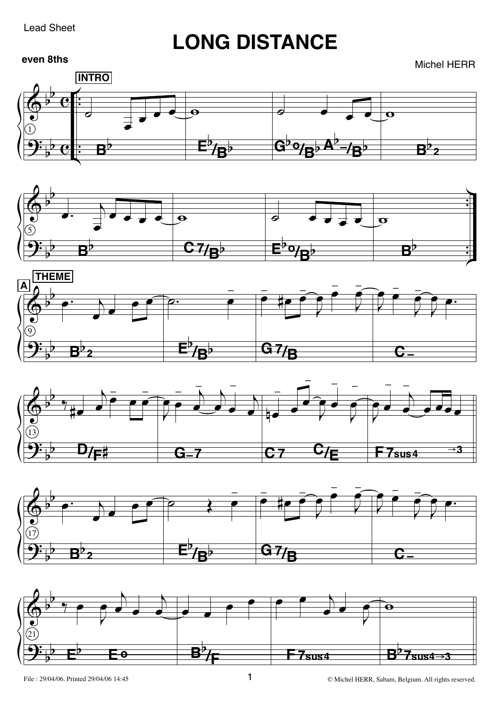## **LONG DISTANCE**

## **even 8ths**

Michel HERR











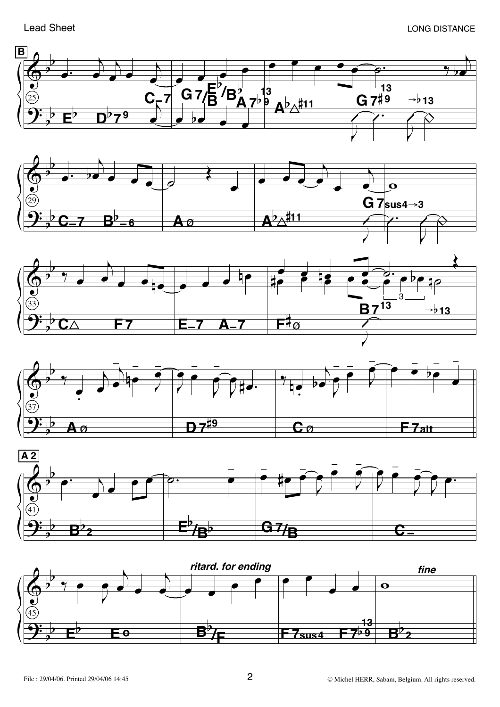Lead Sheet